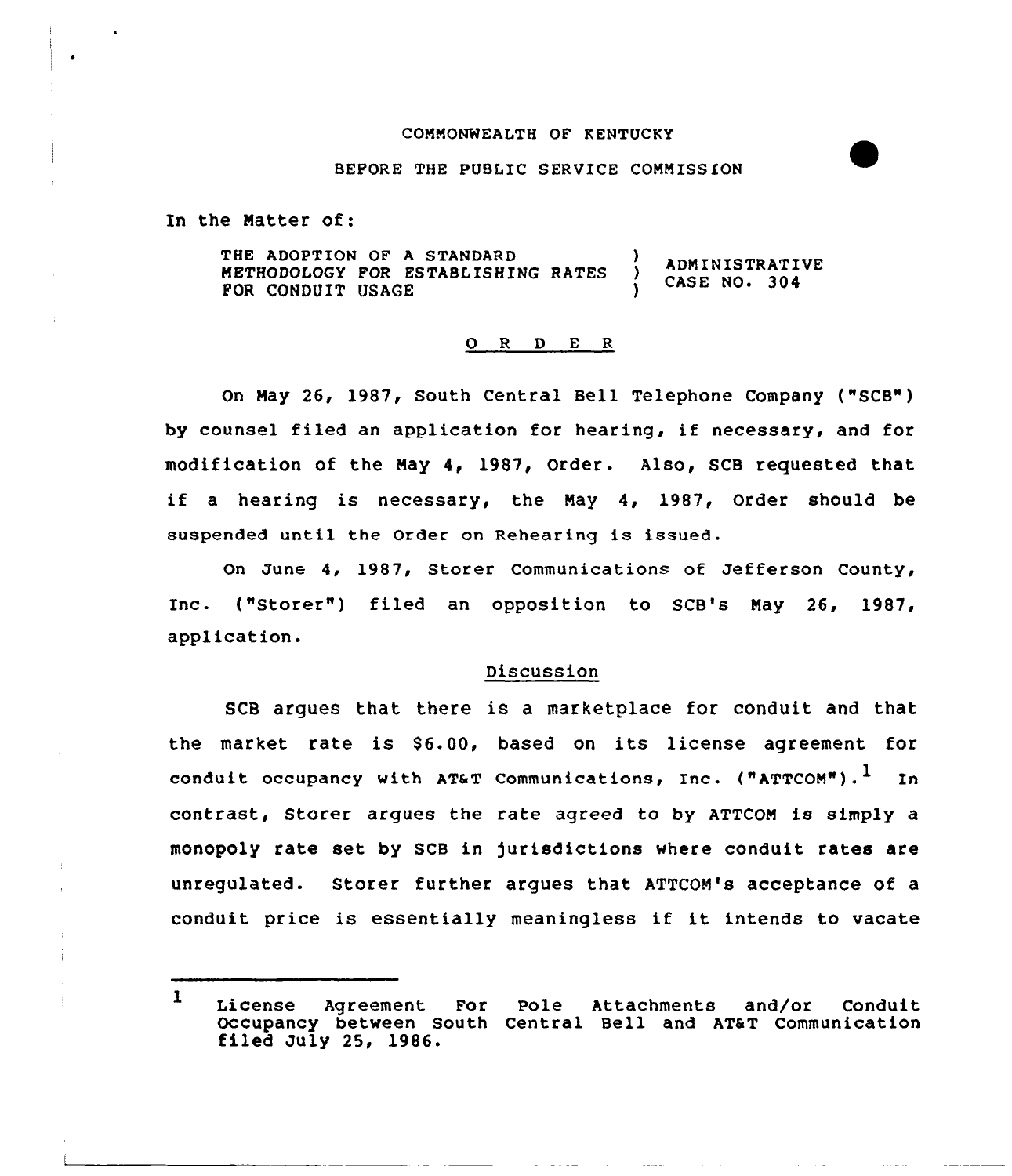#### COMMONWEALTH OF KENTUCKY

#### BEFORE THE PUBLIC SERVICE COMMISSION

In the Matter of:

THE ADOPTION OF A STANDARD METHODOLOGY FOR ESTABLISHING RATES FOR CONDUIT USAGE ADMINISTRATIVE **CASE NO. 304** 

# O R D E R

On May 26, 1987, South Central Bell Telephone Company ("SCB") by counsel filed an application for hearing, if necessary, and for modification of the May 4, 1987, Order. Also, SCB requested that if <sup>a</sup> hearing is necessary, the May 4, 1987, Order should be suspended until the Order on Rehearing is issued.

On Junc 4, 1987, Storer Communications of Jefferson County, Inc. ("Storer") filed an opposition to SCB's May 26, 1987, application.

### Discussion

SCB argues that there is a marketplace for conduit and that the market rate is \$6.00, based on its license agreement for conduit occupancy with AT&T Communications, Inc. ("ATTCOM").<sup>1</sup> In contrast, Storer argues the rate agreed to by ATTCOM is simply a monopoly rate set by SCB in )urisdictions where conduit rates are unregulated. Storer further argues that ATTCOM's acceptance of a conduit price is essentially meaningless if it intends to vacate

 $\mathbf{I}$ License Agreement For Pole Attachments and/or Condui Occupancy between South Central Bell and AT&T Communication filed July 25, 1986.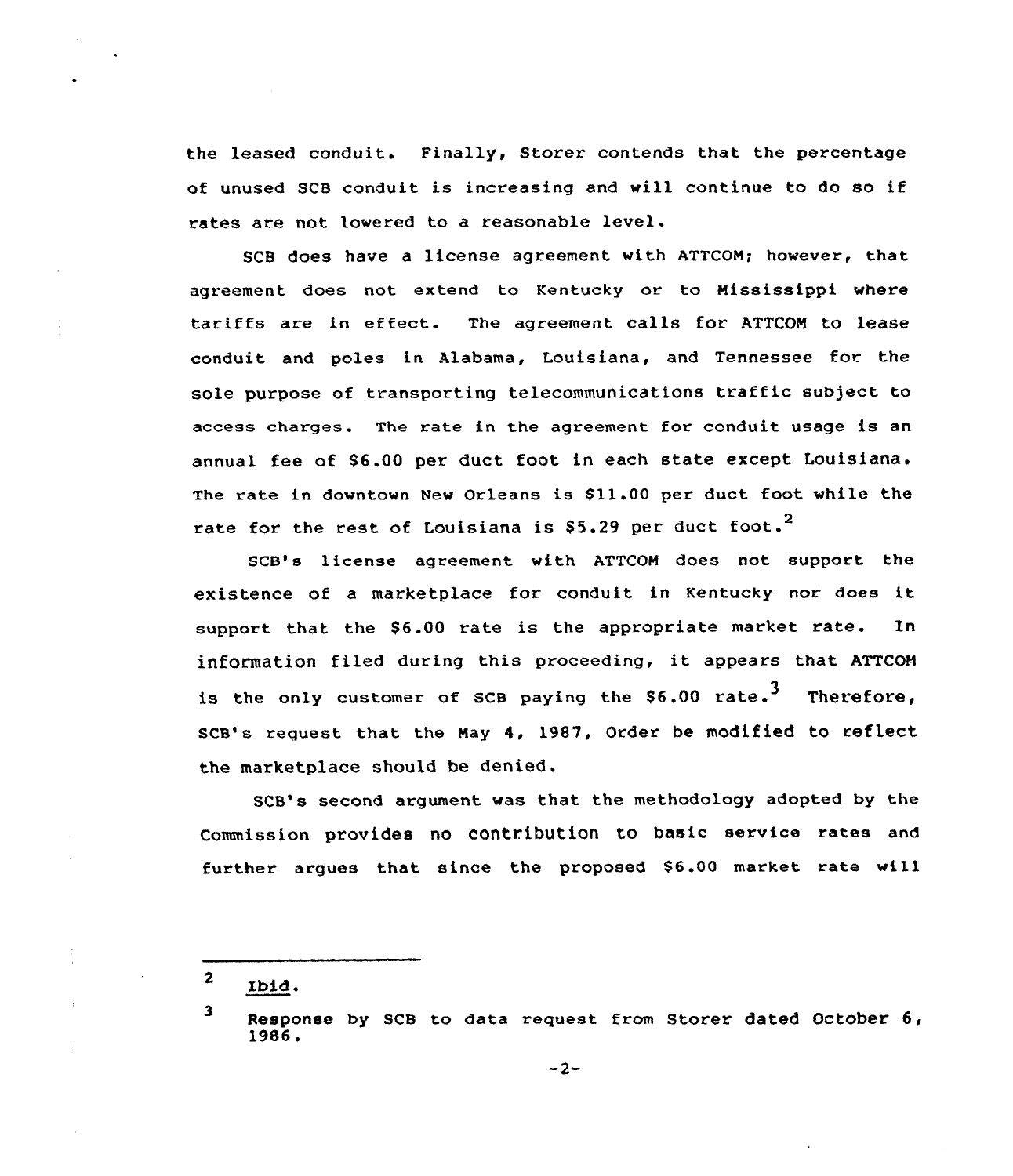the leased conduit. Finally, Storer contends that the percentage of unused SCB conduit is increasing and will continue to do so if rates are not lowered to a reasonable level.

SCB does have a license agreement with ATTCON; however, that agreement does not extend to Kentucky or to Mississippi where tariffs are in effect. The agreement calls for ATTCON to lease conduit and poles in Alabama, Louisiana, and Tennessee for the sole purpose of transporting telecommunications traffic subject to access charges. The rate in the agreement for conduit usage is an annual fee of 86.00 per duct, foot in each state except Louisiana. The rate in downtown New Orleans is \$11.00 per duct foot while the rate for the rest of Louisiana is  $$5.29$  per duct foot.<sup>2</sup>

SCB's license agreement with ATTCOH does not support the existence of <sup>a</sup> marketplace for conduit in Kentucky nor does it support that the \$6.00 rate is the appropriate market rate. In information filed during this proceeding, it appears that ATTCON is the only customer of SCB paying the  $$6.00$  rate.<sup>3</sup> Therefore, SCB's request that the May 4, 1987, Order be modified to reflect the marketplace should be denied.

SCB's second argument was that the methodology adopted by the Commission provides no contribution to basic service rates and further argues that since the proposed \$6.00 market rate will

 $\overline{2}$ Ibid.

<sup>3</sup> Response by scB to data request from storer dated october 6, 1986.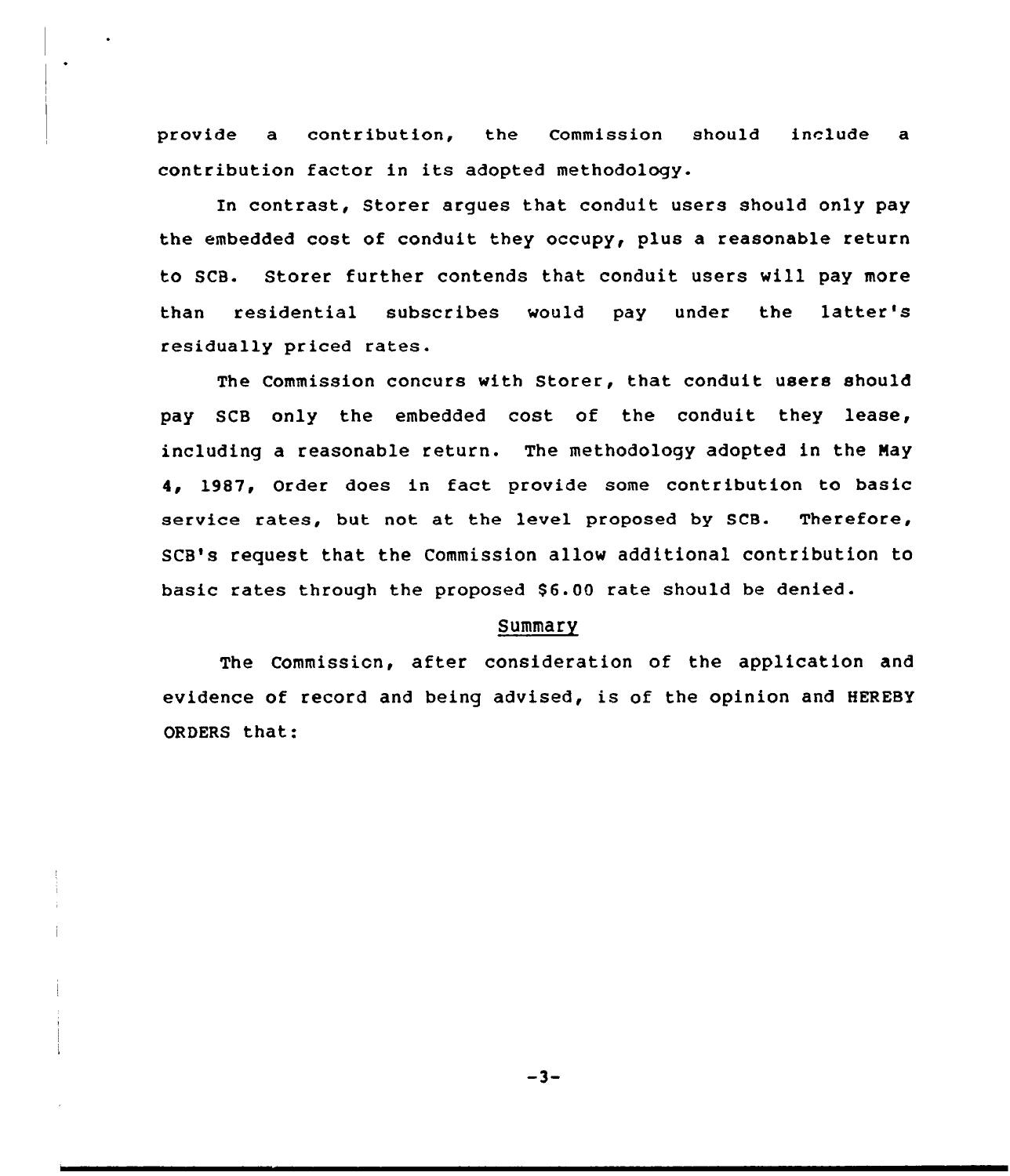provide a contribution, the Commission should include a contribution factor in its adopted methodology.

En contrast, Storer argues that conduit users should only pay the embedded cost of conduit they occupy, plus a reasonable return to SCB. Storer further contends that conduit users will pay more than residential subscribes would pay under the latter's residua11y priced rates.

The Commission concurs with Storer, that conduit users should pay SCB only the embedded cost of the conduit they lease, including a reasonable return. The methodology adopted in the Nay 4, 1987, Order does in fact provide some contribution to basic service rates, but not at the level proposed by SCB. Therefore, SCB's request that the Commission allow additional contribution to basic rates through the proposed \$6.00 rate should be denied.

# Summary

The Commission, after consideration of the application and evidence of record and being advised, is of the opinion and HEREsY ORDERS that:

 $-3-$